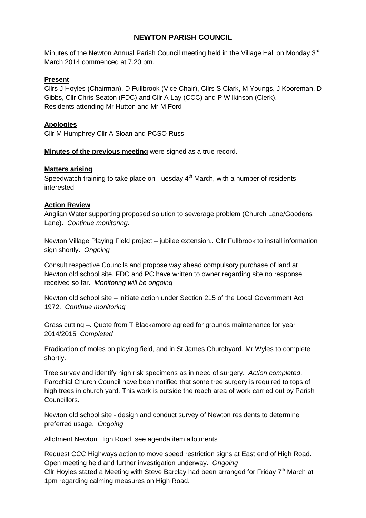## **NEWTON PARISH COUNCIL**

Minutes of the Newton Annual Parish Council meeting held in the Village Hall on Monday 3<sup>rd</sup> March 2014 commenced at 7.20 pm.

#### **Present**

Cllrs J Hoyles (Chairman), D Fullbrook (Vice Chair), Cllrs S Clark, M Youngs, J Kooreman, D Gibbs, Cllr Chris Seaton (FDC) and Cllr A Lay (CCC) and P Wilkinson (Clerk). Residents attending Mr Hutton and Mr M Ford

#### **Apologies**

Cllr M Humphrey Cllr A Sloan and PCSO Russ

**Minutes of the previous meeting** were signed as a true record.

#### **Matters arising**

Speedwatch training to take place on Tuesday  $4<sup>th</sup>$  March, with a number of residents interested.

#### **Action Review**

Anglian Water supporting proposed solution to sewerage problem (Church Lane/Goodens Lane). *Continue monitoring*.

Newton Village Playing Field project – jubilee extension.. Cllr Fullbrook to install information sign shortly. *Ongoing*

Consult respective Councils and propose way ahead compulsory purchase of land at Newton old school site. FDC and PC have written to owner regarding site no response received so far. *Monitoring will be ongoing*

Newton old school site – initiate action under Section 215 of the Local Government Act 1972. *Continue monitoring*

Grass cutting –. Quote from T Blackamore agreed for grounds maintenance for year 2014/2015 *Completed*

Eradication of moles on playing field, and in St James Churchyard. Mr Wyles to complete shortly.

Tree survey and identify high risk specimens as in need of surgery. *Action completed*. Parochial Church Council have been notified that some tree surgery is required to tops of high trees in church yard. This work is outside the reach area of work carried out by Parish Councillors.

Newton old school site - design and conduct survey of Newton residents to determine preferred usage. *Ongoing*

Allotment Newton High Road, see agenda item allotments

Request CCC Highways action to move speed restriction signs at East end of High Road. Open meeting held and further investigation underway. *Ongoing* Cllr Hoyles stated a Meeting with Steve Barclay had been arranged for Friday  $7<sup>th</sup>$  March at 1pm regarding calming measures on High Road.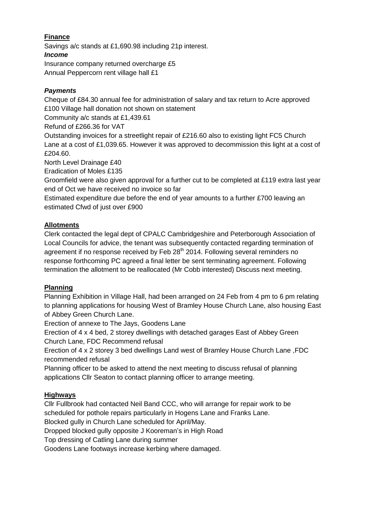# **Finance**

Savings a/c stands at £1,690.98 including 21p interest. *Income* Insurance company returned overcharge £5

Annual Peppercorn rent village hall £1

## *Payments*

Cheque of £84.30 annual fee for administration of salary and tax return to Acre approved £100 Village hall donation not shown on statement

Community a/c stands at £1,439.61

Refund of £266.36 for VAT

Outstanding invoices for a streetlight repair of £216.60 also to existing light FC5 Church Lane at a cost of £1,039.65. However it was approved to decommission this light at a cost of £204.60.

North Level Drainage £40

Eradication of Moles £135

Groomfield were also given approval for a further cut to be completed at £119 extra last year end of Oct we have received no invoice so far

Estimated expenditure due before the end of year amounts to a further £700 leaving an estimated Cfwd of just over £900

### **Allotments**

Clerk contacted the legal dept of CPALC Cambridgeshire and Peterborough Association of Local Councils for advice, the tenant was subsequently contacted regarding termination of agreement if no response received by Feb 28<sup>th</sup> 2014. Following several reminders no response forthcoming PC agreed a final letter be sent terminating agreement. Following termination the allotment to be reallocated (Mr Cobb interested) Discuss next meeting.

### **Planning**

Planning Exhibition in Village Hall, had been arranged on 24 Feb from 4 pm to 6 pm relating to planning applications for housing West of Bramley House Church Lane, also housing East of Abbey Green Church Lane.

Erection of annexe to The Jays, Goodens Lane

Erection of 4 x 4 bed, 2 storey dwellings with detached garages East of Abbey Green Church Lane, FDC Recommend refusal

Erection of 4 x 2 storey 3 bed dwellings Land west of Bramley House Church Lane ,FDC recommended refusal

Planning officer to be asked to attend the next meeting to discuss refusal of planning applications Cllr Seaton to contact planning officer to arrange meeting.

### **Highways**

Cllr Fullbrook had contacted Neil Band CCC, who will arrange for repair work to be scheduled for pothole repairs particularly in Hogens Lane and Franks Lane.

Blocked gully in Church Lane scheduled for April/May.

Dropped blocked gully opposite J Kooreman's in High Road

Top dressing of Catling Lane during summer

Goodens Lane footways increase kerbing where damaged.